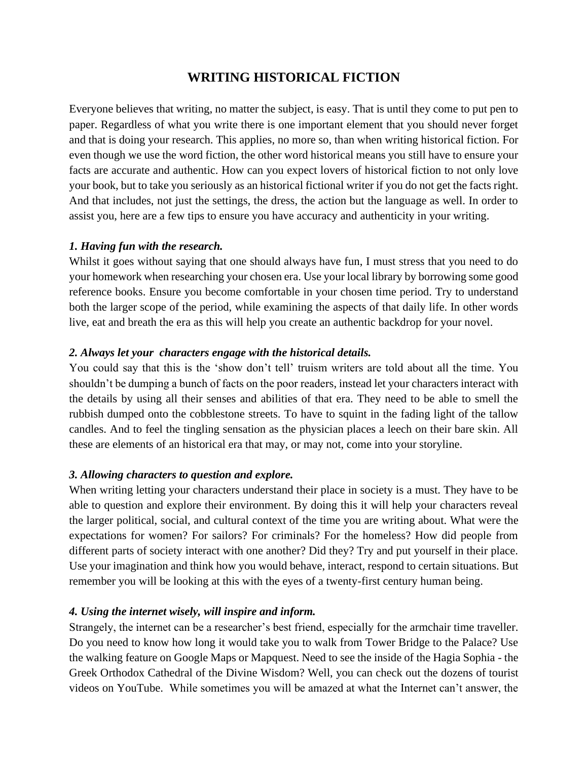# **WRITING HISTORICAL FICTION**

Everyone believes that writing, no matter the subject, is easy. That is until they come to put pen to paper. Regardless of what you write there is one important element that you should never forget and that is doing your research. This applies, no more so, than when writing historical fiction. For even though we use the word fiction, the other word historical means you still have to ensure your facts are accurate and authentic. How can you expect lovers of historical fiction to not only love your book, but to take you seriously as an historical fictional writer if you do not get the facts right. And that includes, not just the settings, the dress, the action but the language as well. In order to assist you, here are a few tips to ensure you have accuracy and authenticity in your writing.

### *1. Having fun with the research.*

Whilst it goes without saying that one should always have fun, I must stress that you need to do your homework when researching your chosen era. Use your local library by borrowing some good reference books. Ensure you become comfortable in your chosen time period. Try to understand both the larger scope of the period, while examining the aspects of that daily life. In other words live, eat and breath the era as this will help you create an authentic backdrop for your novel.

### *2. Always let your characters engage with the historical details.*

You could say that this is the 'show don't tell' truism writers are told about all the time. You shouldn't be dumping a bunch of facts on the poor readers, instead let your characters interact with the details by using all their senses and abilities of that era. They need to be able to smell the rubbish dumped onto the cobblestone streets. To have to squint in the fading light of the tallow candles. And to feel the tingling sensation as the physician places a leech on their bare skin. All these are elements of an historical era that may, or may not, come into your storyline.

#### *3. Allowing characters to question and explore.*

When writing letting your characters understand their place in society is a must. They have to be able to question and explore their environment. By doing this it will help your characters reveal the larger political, social, and cultural context of the time you are writing about. What were the expectations for women? For sailors? For criminals? For the homeless? How did people from different parts of society interact with one another? Did they? Try and put yourself in their place. Use your imagination and think how you would behave, interact, respond to certain situations. But remember you will be looking at this with the eyes of a twenty-first century human being.

#### *4. Using the internet wisely, will inspire and inform.*

Strangely, the internet can be a researcher's best friend, especially for the armchair time traveller. Do you need to know how long it would take you to walk from Tower Bridge to the Palace? Use the walking feature on Google Maps or Mapquest. Need to see the inside of the Hagia Sophia - the Greek Orthodox Cathedral of the Divine Wisdom? Well, you can check out the dozens of tourist videos on YouTube. While sometimes you will be amazed at what the Internet can't answer, the